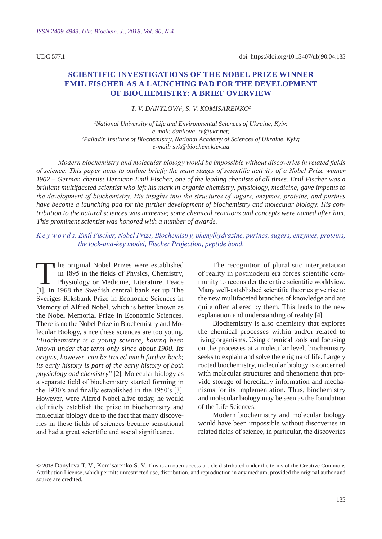UDC 577.1

# **Scientific investigations of the Nobel prize winner Emil Fischer as a launching pad for the development of biochemistry: a brief overview**

*T. V. Danylova1 , S. V. Komis arenk o2*

*1 National University of Life and Environmental Sciences of Ukraine, Kyiv; e-mail: danilova\_tv@ukr.net; 2 Palladin Institute of Biochemistry, National Academy of Sciences of Ukraine, Kyiv; e-mail: svk@biochem.kiev.ua*

*Modern biochemistry and molecular biology would be impossible without discoveries in related fields of science. This paper aims to outline briefly the main stages of scientific activity of a Nobel Prize winner 1902 – German chemist Hermann Emil Fischer, one of the leading chemists of all times. Emil Fischer was a brilliant multifaceted scientist who left his mark in organic chemistry, physiology, medicine, gave impetus to the development of biochemistry. His insights into the structures of sugars, enzymes, proteins, and purines have become a launching pad for the further development of biochemistry and molecular biology. His contribution to the natural sciences was immense; some chemical reactions and concepts were named after him. This prominent scientist was honored with a number of awards.* 

*K e y w o r d s: Emil Fischer, Nobel Prize, Biochemistry, phenylhydrazine, purines, sugars, enzymes, proteins, the lock-and-key model, Fischer Projection, peptide bond.*

The original Nobel Prizes were established<br>in 1895 in the fields of Physics, Chemistry,<br>Physiology or Medicine, Literature, Peace in 1895 in the fields of physics, chemistry, Physiology or Medicine, Literature, Peace [1]. In 1968 the Swedish central bank set up The Sveriges Riksbank Prize in Economic Sciences in Memory of Alfred Nobel, which is better known as the Nobel Memorial Prize in Economic Sciences. There is no the Nobel Prize in Biochemistry and Molecular Biology, since these sciences are too young. *"Biochemistry is a young science, having been known under that term only since about 1900. Its origins, however, can be traced much further back; its early history is part of the early history of both physiology and chemistry"* [2]. Molecular biology as a separate field of biochemistry started forming in the 1930's and finally established in the 1950's [3]. However, were Alfred Nobel alive today, he would definitely establish the prize in biochemistry and molecular biology due to the fact that many discoveries in these fields of sciences became sensational and had a great scientific and social significance.

The recognition of pluralistic interpretation of reality in postmodern era forces scientific community to reconsider the entire scientific worldview. Many well-established scientific theories give rise to the new multifaceted branches of knowledge and are quite often altered by them. This leads to the new explanation and understanding of reality [4].

Biochemistry is also chemistry that explores the chemical processes within and/or related to living organisms. Using chemical tools and focusing on the processes at a molecular level, biochemistry seeks to explain and solve the enigma of life. Largely rooted biochemistry, molecular biology is concerned with molecular structures and phenomena that provide storage of hereditary information and mechanisms for its implementation. Thus, biochemistry and molecular biology may be seen as the foundation of the Life Sciences.

Modern biochemistry and molecular biology would have been impossible without discoveries in related fields of science, in particular, the discoveries

<sup>© 2018</sup> Danylova T. V., Komisarenko S. V. This is an open-access article distributed under the terms of the Creative Commons Attribution License, which permits unrestricted use, distribution, and reproduction in any medium, provided the original author and source are credited.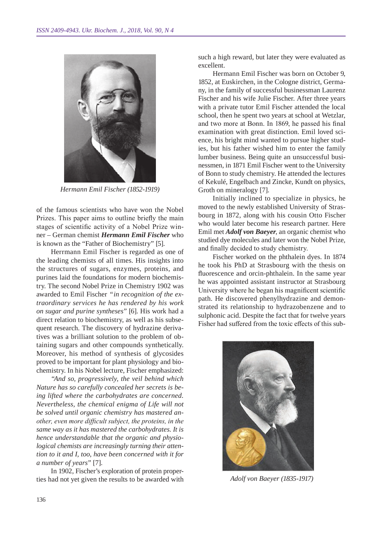

*Hermann Emil Fischer (1852-1919)*

of the famous scientists who have won the Nobel Prizes. This paper aims to outline briefly the main stages of scientific activity of a Nobel Prize winner – German chemist *Hermann Emil Fischer* who is known as the "Father of Biochemistry" [5].

Herrmann Emil Fischer is regarded as one of the leading chemists of all times. His insights into the structures of sugars, enzymes, proteins, and purines laid the foundations for modern biochemistry. The second Nobel Prize in Chemistry 1902 was awarded to Emil Fischer *"in recognition of the extraordinary services he has rendered by his work on sugar and purine syntheses"* [6]. His work had a direct relation to biochemistry, as well as his subsequent research. The discovery of hydrazine derivatives was a brilliant solution to the problem of obtaining sugars and other compounds synthetically. Moreover, his method of synthesis of glycosides proved to be important for plant physiology and biochemistry. In his Nobel lecture, Fischer emphasized:

*"And so, progressively, the veil behind which Nature has so carefully concealed her secrets is being lifted where the carbohydrates are concerned. Nevertheless, the chemical enigma of Life will not be solved until organic chemistry has mastered another, even more difficult subject, the proteins, in the same way as it has mastered the carbohydrates. It is hence understandable that the organic and physiological chemists are increasingly turning their attention to it and I, too, have been concerned with it for a number of years"* [7].

In 1902, Fischer's exploration of protein properties had not yet given the results to be awarded with

such a high reward, but later they were evaluated as excellent.

Hermann Emil Fischer was born on October 9, 1852, at Euskirchen, in the Cologne district, Germany, in the family of successful businessman Laurenz Fischer and his wife Julie Fischer. After three years with a private tutor Emil Fischer attended the local school, then he spent two years at school at Wetzlar, and two more at Bonn. In 1869, he passed his final examination with great distinction. Emil loved science, his bright mind wanted to pursue higher studies, but his father wished him to enter the family lumber business. Being quite an unsuccessful businessmen, in 1871 Emil Fischer went to the University of Bonn to study chemistry. He attended the lectures of Kekulé, Engelbach and Zincke, Kundt on physics, Groth on mineralogy [7].

Initially inclined to specialize in physics, he moved to the newly established University of Strasbourg in 1872, along with his cousin Otto Fischer who would later become his research partner. Here Emil met *Adolf von Baeyer*, an organic chemist who studied dye molecules and later won the Nobel Prize, and finally decided to study chemistry.

Fischer worked on the phthalein dyes. In 1874 he took his PhD at Strasbourg with the thesis on fluorescence and orcin-phthalein. In the same year he was appointed assistant instructor at Strasbourg University where he began his magnificent scientific path. He discovered phenylhydrazine and demonstrated its relationship to hydrazobenzene and to sulphonic acid. Despite the fact that for twelve years Fisher had suffered from the toxic effects of this sub-



*Adolf von Baeyer (1835-1917)*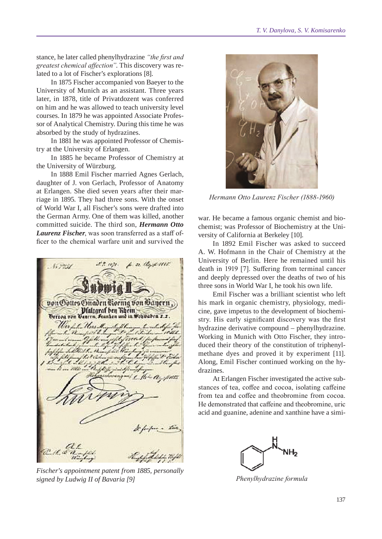stance, he later called phenylhydrazine *"the first and greatest chemical affection"*. This discovery was related to a lot of Fischer's explorations [8].

In 1875 Fischer accompanied von Baeyer to the University of Munich as an assistant. Three years later, in 1878, title of Privatdozent was conferred on him and he was allowed to teach university level courses. In 1879 he was appointed Associate Professor of Analytical Chemistry. During this time he was absorbed by the study of hydrazines.

In 1881 he was appointed Professor of Chemistry at the University of Erlangen.

In 1885 he became Professor of Chemistry at the University of Würzburg.

In 1888 Emil Fischer married Agnes Gerlach, daughter of J. von Gerlach, Professor of Anatomy at Erlangen. She died seven years after their marriage in 1895. They had three sons. With the onset of World War I, all Fischer's sons were drafted into the German Army. One of them was killed, another committed suicide. The third son, *Hermann Otto Laurenz Fischer*, was soon transferred as a staff officer to the chemical warfare unit and survived the



*Fischer's appointment patent from 1885, personally signed by Ludwig II of Bavaria [9]*



*Hermann Otto Laurenz Fischer (1888-1960)*

war. He became a famous organic chemist and biochemist; was Professor of Biochemistry at the University of California at Berkeley [10].

In 1892 Emil Fischer was asked to succeed A. W. Hofmann in the Chair of Chemistry at the University of Berlin. Here he remained until his death in 1919 [7]. Suffering from terminal cancer and deeply depressed over the deaths of two of his three sons in World War I, he took his own life.

Emil Fischer was a brilliant scientist who left his mark in organic chemistry, physiology, medicine, gave impetus to the development of biochemistry. His early significant discovery was the first hydrazine derivative compound – phenylhydrazine. Working in Munich with Otto Fischer, they introduced their theory of the constitution of triphenylmethane dyes and proved it by experiment [11]. Along, Emil Fischer continued working on the hydrazines.

At Erlangen Fischer investigated the active substances of tea, coffee and cocoa, isolating caffeine from tea and coffee and theobromine from cocoa. He demonstrated that caffeine and theobromine, uric acid and guanine, adenine and xanthine have a simi-



*Phenylhydrazine formula*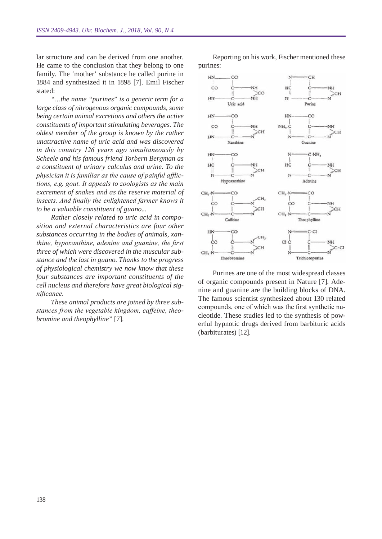lar structure and can be derived from one another. He came to the conclusion that they belong to one family. The 'mother' substance he called purine in 1884 and synthesized it in 1898 [7]. Emil Fischer stated:

*"…the name "purines" is a generic term for a large class of nitrogenous organic compounds, some being certain animal excretions and others the active constituents of important stimulating beverages. The oldest member of the group is known by the rather unattractive name of uric acid and was discovered in this country 126 years ago simultaneously by Scheele and his famous friend Torbern Bergman as a constituent of urinary calculus and urine. To the physician it is familiar as the cause of painful afflictions, e.g. gout. It appeals to zoologists as the main excrement of snakes and as the reserve material of insects. And finally the enlightened farmer knows it to be a valuable constituent of guano...*

*Rather closely related to uric acid in composition and external characteristics are four other substances occurring in the bodies of animals, xanthine, hypoxanthine, adenine and guanine, the first three of which were discovered in the muscular substance and the last in guano. Thanks to the progress of physiological chemistry we now know that these four substances are important constituents of the cell nucleus and therefore have great biological significance.*

*These animal products are joined by three substances from the vegetable kingdom, caffeine, theobromine and theophylline"* [7].

Reporting on his work, Fischer mentioned these purines:



Purines are one of the most widespread classes of organic compounds present in Nature [7]. Adenine and guanine are the building blocks of DNA. The famous scientist synthesized about 130 related compounds, one of which was the first synthetic nucleotide. These studies led to the synthesis of powerful hypnotic drugs derived from barbituric acids (barbiturates) [12].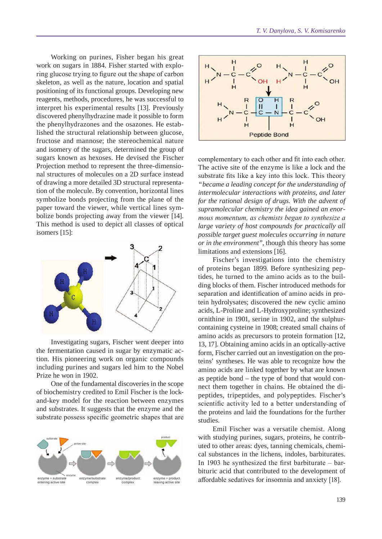Working on purines, Fisher began his great work on sugars in 1884. Fisher started with exploring glucose trying to figure out the shape of carbon skeleton, as well as the nature, location and spatial positioning of its functional groups. Developing new reagents, methods, procedures, he was successful to interpret his experimental results [13]. Previously discovered phenylhydrazine made it possible to form the phenylhydrazones and the osazones. He established the structural relationship between glucose, fructose and mannose; the stereochemical nature and isomery of the sugars, determined the group of sugars known as hexoses. He devised the Fischer Projection method to represent the three-dimensional structures of molecules on a 2D surface instead of drawing a more detailed 3D structural representation of the molecule. By convention, horizontal lines symbolize bonds projecting from the plane of the paper toward the viewer, while vertical lines symbolize bonds projecting away from the viewer [14]. This method is used to depict all classes of optical isomers [15]:



Investigating sugars, Fischer went deeper into the fermentation caused in sugar by enzymatic action. His pioneering work on organic compounds including purines and sugars led him to the Nobel Prize he won in 1902.

One of the fundamental discoveries in the scope of biochemistry credited to Emil Fischer is the lockand-key model for the reaction between enzymes and substrates. It suggests that the enzyme and the substrate possess specific geometric shapes that are





complementary to each other and fit into each other. The active site of the enzyme is like a lock and the substrate fits like a key into this lock. This theory *"became a leading concept for the understanding of intermolecular interactions with proteins, and later for the rational design of drugs. With the advent of supramolecular chemistry the idea gained an enormous momentum, as chemists began to synthesize a large variety of host compounds for practically all possible target guest molecules occurring in nature or in the environment"*, though this theory has some limitations and extensions [16].

Fischer's investigations into the chemistry of proteins began 1899. Before synthesizing peptides, he turned to the amino acids as to the building blocks of them. Fischer introduced methods for separation and identification of amino acids in protein hydrolysates; discovered the new cyclic amino acids, L-Proline and L-Hydroxyproline; synthesized ornithine in 1901, serine in 1902, and the sulphurcontaining cysteine in 1908; created small chains of amino acids as precursors to protein formation [12, 13, 17]. Obtaining amino acids in an optically-active form, Fischer carried out an investigation on the proteins' syntheses. He was able to recognize how the amino acids are linked together by what are known as peptide bond – the type of bond that would connect them together in chains. He obtained the dipeptides, tripeptides, and polypeptides. Fischer's scientific activity led to a better understanding of the proteins and laid the foundations for the further studies.

Emil Fischer was a versatile chemist. Along with studying purines, sugars, proteins, he contributed to other areas: dyes, tanning chemicals, chemical substances in the lichens, indoles, barbiturates. In 1903 he synthesized the first barbiturate – barbituric acid that contributed to the development of affordable sedatives for insomnia and anxiety [18].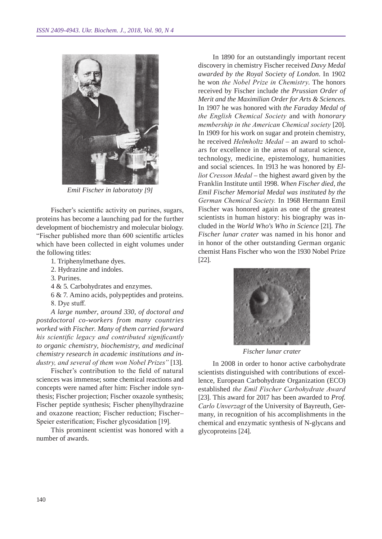

*Emil Fischer in laboratoty [9]*

Fischer's scientific activity on purines, sugars, proteins has become a launching pad for the further development of biochemistry and molecular biology. "Fischer published more than 600 scientific articles which have been collected in eight volumes under the following titles:

- 1. Triphenylmethane dyes.
- 2. Hydrazine and indoles.
- 3. Purines.
- 4 & 5. Carbohydrates and enzymes.
- 6 & 7. Amino acids, polypeptides and proteins. 8. Dye stuff.

*A large number, around 330, of doctoral and postdoctoral co-workers from many countries worked with Fischer. Many of them carried forward his scientific legacy and contributed significantly to organic chemistry, biochemistry, and medicinal chemistry research in academic institutions and industry, and several of them won Nobel Prizes"* [13].

Fischer's contribution to the field of natural sciences was immense; some chemical reactions and concepts were named after him: Fischer indole synthesis; Fischer projection; Fischer oxazole synthesis; Fischer peptide synthesis; Fischer phenylhydrazine and oxazone reaction; Fischer reduction; Fischer– Speier esterification; Fischer glycosidation [19].

This prominent scientist was honored with a number of awards.

In 1890 for an outstandingly important recent discovery in chemistry Fischer received *Davy Medal awarded by the Royal Society of London*. In 1902 he won *the Nobel Prize in Chemistry*. The honors received by Fischer include *the Prussian Order of Merit and the Maximilian Order for Arts & Sciences*. In 1907 he was honored with *the Faraday Medal of the English Chemical Society* and with *honorary membership in the American Chemical society* [20]. In 1909 for his work on sugar and protein chemistry, he received *Helmholtz Medal* – an award to scholars for excellence in the areas of natural science, technology, medicine, epistemology, humanities and social sciences. In 1913 he was honored by *Elliot Cresson Medal* – the highest award given by the Franklin Institute until 1998. *When Fischer died, the Emil Fischer Memorial Medal was instituted by the German Chemical Society.* In 1968 Hermann Emil Fischer was honored again as one of the greatest scientists in human history: his biography was included in the *World Who's Who in Science* [21]. *The Fischer lunar crater* was named in his honor and in honor of the other outstanding German organic chemist Hans Fischer who won the 1930 Nobel Prize [22].



*Fischer lunar crater*

In 2008 in order to honor active carbohydrate scientists distinguished with contributions of excellence, European Carbohydrate Organization (ECO) established *the Emil Fischer Carbohydrate Award* [23]. This award for 2017 has been awarded to *Prof. Carlo Unverzagt* of the University of Bayreuth, Germany, in recognition of his accomplishments in the chemical and enzymatic synthesis of N-glycans and glycoproteins [24].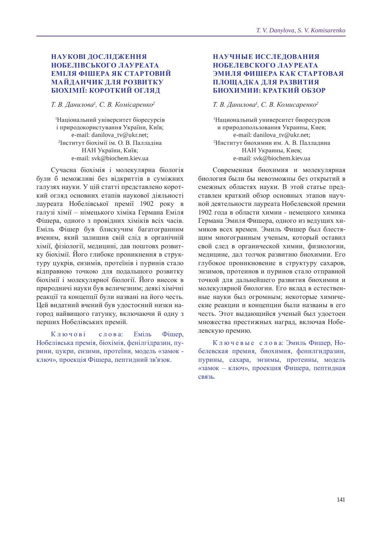# **НАУКОВІ ЛОСЛІЛЖЕННЯ нобелівського лауреата еміля фішера як стартовий майданчик для розвитку біохімії: короткий огляд**

*Т. В. Данилова<sup>1</sup> , С. В. Комісаренко<sup>2</sup>*

1 Національний університет біоресурсів і природокористування України, Київ; e-mail: danilova\_tv@ukr.net; 2 Інститут біохімії ім. О. В. Палладіна НАН України, Київ; e-mail: svk@biochem.kiev.ua

Сучасна біохімія і молекулярна біологія були б неможливі без відкриттів в суміжних галузях науки. У цій статті представлено короткий огляд основних етапів наукової діяльності лауреата Нобелівської премії 1902 року в галузі хімії – німецького хіміка Германа Еміля Фішера, одного з провідних хіміків всіх часів. Еміль Фішер був блискучим багатогранним вченим, який залишив свій слід в органічній хімії, фізіології, медицині, дав поштовх розвитку біохімії. Його глибоке проникнення в структуру цукрів, ензимів, протеїнів і пуринів стало відправною точкою для подальшого розвитку біохімії і молекулярної біології. Його внесок в природничі науки був величезним; деякі хімічні реакції та концепції були названі на його честь. Цей видатний вчений був удостоєний низки нагород найвищого гатунку, включаючи й одну з перших Нобелівських премій.

Ключові слова: Еміль Фішер, Нобелівська премія, біохімія, фенілгідразин, пурини, цукри, ензими, протеїни, модель «замок ключ», проекція Фішера, пептидний зв'язок.

## **Научные исследования нобелевского лауреата эмиля фишера как стартовая площадка для развития биохимии: краткий обзор**

#### *Т. В. Данилова<sup>1</sup> , С. В. Комисаренко<sup>2</sup>*

1 Национальный университет биоресурсов и природопользования Украины, Киев; e-mail: danilova\_tv@ukr.net; 2 Институт биохимии им. А. В. Палладина НАН Украины, Киев; e-mail: svk@biochem.kiev.ua

Современная биохимия и молекулярная биология были бы невозможны без открытий в смежных областях науки. В этой статье представлен краткий обзор основных этапов научной деятельности лауреата Нобелевской премии 1902 года в области химии - немецкого химика Германа Эмиля Фишера, одного из ведущих химиков всех времен. Эмиль Фишер был блестящим многогранным ученым, который оставил свой след в органической химии, физиологии, медицине, дал толчок развитию биохимии. Его глубокое проникновение в структуру сахаров, энзимов, протеинов и пуринов стало отправной точкой для дальнейшего развития биохимии и молекулярной биологии. Его вклад в естественные науки был огромным; некоторые химические реакции и концепции были названы в его честь. Этот выдающийся ученый был удостоен множества престижных наград, включая Нобелевскую премию.

К л ю ч е в ы е с л о в а: Эмиль Фишер, Нобелевская премия, биохимия, фенилгидразин, пурины, сахара, энзимы, протеины, модель «замок – ключ», проекция Фишера, пептидная связь.